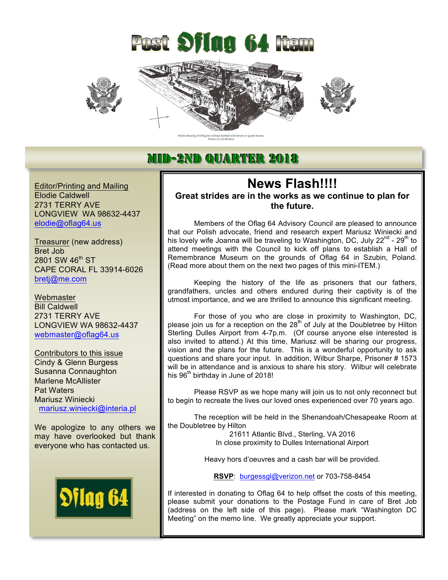







## MID-2ND QUARTER 2018

Editor/Printing and Mailing Elodie Caldwell 2731 TERRY AVE LONGVIEW WA 98632-4437 elodie@oflag64.us

Treasurer (new address) Bret Job 2801 SW 46<sup>th</sup> ST CAPE CORAL FL 33914-6026 bretj@me.com

**Webmaster** Bill Caldwell 2731 TERRY AVE LONGVIEW WA 98632-4437 webmaster@oflag64.us

Contributors to this issue Cindy & Glenn Burgess Susanna Connaughton Marlene McAllister Pat Waters Mariusz Winiecki mariusz.winiecki@interia.pl

We apologize to any others we may have overlooked but thank everyone who has contacted us.



### **News Flash!!!! Great strides are in the works as we continue to plan for the future.**

Members of the Oflag 64 Advisory Council are pleased to announce that our Polish advocate, friend and research expert Mariusz Winiecki and his lovely wife Joanna will be traveling to Washington, DC, July 22<sup>nd</sup> - 29<sup>th</sup> to attend meetings with the Council to kick off plans to establish a Hall of Remembrance Museum on the grounds of Oflag 64 in Szubin, Poland. (Read more about them on the next two pages of this mini-ITEM.)

Keeping the history of the life as prisoners that our fathers, grandfathers, uncles and others endured during their captivity is of the utmost importance, and we are thrilled to announce this significant meeting.

For those of you who are close in proximity to Washington, DC, please join us for a reception on the 28<sup>th</sup> of July at the Doubletree by Hilton Sterling Dulles Airport from 4-7p.m. (Of course anyone else interested is also invited to attend.) At this time, Mariusz will be sharing our progress, vision and the plans for the future. This is a wonderful opportunity to ask questions and share your input. In addition, Wilbur Sharpe, Prisoner # 1573 will be in attendance and is anxious to share his story. Wilbur will celebrate his 96<sup>th</sup> birthday in June of 2018!

Please RSVP as we hope many will join us to not only reconnect but to begin to recreate the lives our loved ones experienced over 70 years ago.

The reception will be held in the Shenandoah/Chesapeake Room at the Doubletree by Hilton

> 21611 Atlantic Blvd., Sterling, VA 2016 In close proximity to Dulles International Airport

Heavy hors d'oeuvres and a cash bar will be provided.

**RSVP**: burgessgl@verizon.net or 703-758-8454

If interested in donating to Oflag 64 to help offset the costs of this meeting, please submit your donations to the Postage Fund in care of Bret Job (address on the left side of this page). Please mark "Washington DC Meeting" on the memo line. We greatly appreciate your support.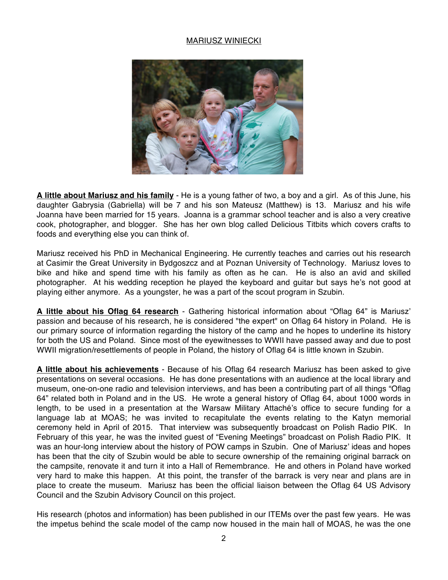#### MARIUSZ WINIECKI



**A little about Mariusz and his family** - He is a young father of two, a boy and a girl. As of this June, his daughter Gabrysia (Gabriella) will be 7 and his son Mateusz (Matthew) is 13. Mariusz and his wife Joanna have been married for 15 years. Joanna is a grammar school teacher and is also a very creative cook, photographer, and blogger. She has her own blog called Delicious Titbits which covers crafts to foods and everything else you can think of.

Mariusz received his PhD in Mechanical Engineering. He currently teaches and carries out his research at Casimir the Great University in Bydgoszcz and at Poznan University of Technology. Mariusz loves to bike and hike and spend time with his family as often as he can. He is also an avid and skilled photographer. At his wedding reception he played the keyboard and guitar but says he's not good at playing either anymore. As a youngster, he was a part of the scout program in Szubin.

**A little about his Oflag 64 research** - Gathering historical information about "Oflag 64" is Mariusz' passion and because of his research, he is considered "the expert" on Oflag 64 history in Poland. He is our primary source of information regarding the history of the camp and he hopes to underline its history for both the US and Poland. Since most of the eyewitnesses to WWII have passed away and due to post WWII migration/resettlements of people in Poland, the history of Oflag 64 is little known in Szubin.

**A little about his achievements** - Because of his Oflag 64 research Mariusz has been asked to give presentations on several occasions. He has done presentations with an audience at the local library and museum, one-on-one radio and television interviews, and has been a contributing part of all things "Oflag 64" related both in Poland and in the US. He wrote a general history of Oflag 64, about 1000 words in length, to be used in a presentation at the Warsaw Military Attaché's office to secure funding for a language lab at MOAS; he was invited to recapitulate the events relating to the Katyn memorial ceremony held in April of 2015. That interview was subsequently broadcast on Polish Radio PIK. In February of this year, he was the invited guest of "Evening Meetings" broadcast on Polish Radio PIK. It was an hour-long interview about the history of POW camps in Szubin. One of Mariusz' ideas and hopes has been that the city of Szubin would be able to secure ownership of the remaining original barrack on the campsite, renovate it and turn it into a Hall of Remembrance. He and others in Poland have worked very hard to make this happen. At this point, the transfer of the barrack is very near and plans are in place to create the museum. Mariusz has been the official liaison between the Oflag 64 US Advisory Council and the Szubin Advisory Council on this project.

His research (photos and information) has been published in our ITEMs over the past few years. He was the impetus behind the scale model of the camp now housed in the main hall of MOAS, he was the one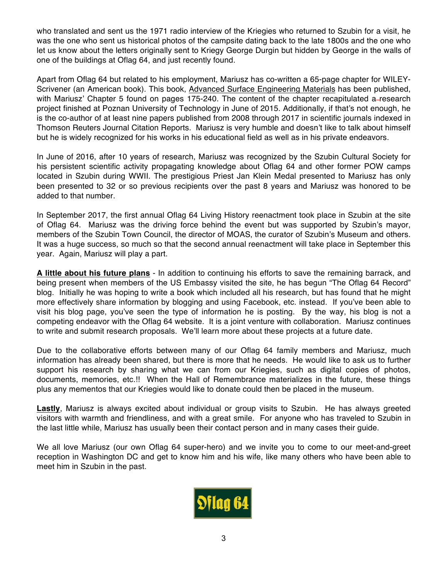who translated and sent us the 1971 radio interview of the Kriegies who returned to Szubin for a visit, he was the one who sent us historical photos of the campsite dating back to the late 1800s and the one who let us know about the letters originally sent to Kriegy George Durgin but hidden by George in the walls of one of the buildings at Oflag 64, and just recently found.

Apart from Oflag 64 but related to his employment, Mariusz has co-written a 65-page chapter for WILEY-Scrivener (an American book). This book, Advanced Surface Engineering Materials has been published, with Mariusz' Chapter 5 found on pages 175-240. The content of the chapter recapitulated a–research project finished at Poznan University of Technology in June of 2015. Additionally, if that's not enough, he is the co-author of at least nine papers published from 2008 through 2017 in scientific journals indexed in Thomson Reuters Journal Citation Reports. Mariusz is very humble and doesn't like to talk about himself but he is widely recognized for his works in his educational field as well as in his private endeavors.

In June of 2016, after 10 years of research, Mariusz was recognized by the Szubin Cultural Society for his persistent scientific activity propagating knowledge about Oflag 64 and other former POW camps located in Szubin during WWII. The prestigious Priest Jan Klein Medal presented to Mariusz has only been presented to 32 or so previous recipients over the past 8 years and Mariusz was honored to be added to that number.

In September 2017, the first annual Oflag 64 Living History reenactment took place in Szubin at the site of Oflag 64. Mariusz was the driving force behind the event but was supported by Szubin's mayor, members of the Szubin Town Council, the director of MOAS, the curator of Szubin's Museum and others. It was a huge success, so much so that the second annual reenactment will take place in September this year. Again, Mariusz will play a part.

**A little about his future plans** - In addition to continuing his efforts to save the remaining barrack, and being present when members of the US Embassy visited the site, he has begun "The Oflag 64 Record" blog. Initially he was hoping to write a book which included all his research, but has found that he might more effectively share information by blogging and using Facebook, etc. instead. If you've been able to visit his blog page, you've seen the type of information he is posting. By the way, his blog is not a competing endeavor with the Oflag 64 website. It is a joint venture with collaboration. Mariusz continues to write and submit research proposals. We'll learn more about these projects at a future date.

Due to the collaborative efforts between many of our Oflag 64 family members and Mariusz, much information has already been shared, but there is more that he needs. He would like to ask us to further support his research by sharing what we can from our Kriegies, such as digital copies of photos, documents, memories, etc.!! When the Hall of Remembrance materializes in the future, these things plus any mementos that our Kriegies would like to donate could then be placed in the museum.

**Lastly**, Mariusz is always excited about individual or group visits to Szubin. He has always greeted visitors with warmth and friendliness, and with a great smile. For anyone who has traveled to Szubin in the last little while, Mariusz has usually been their contact person and in many cases their guide.

We all love Mariusz (our own Oflag 64 super-hero) and we invite you to come to our meet-and-greet reception in Washington DC and get to know him and his wife, like many others who have been able to meet him in Szubin in the past.

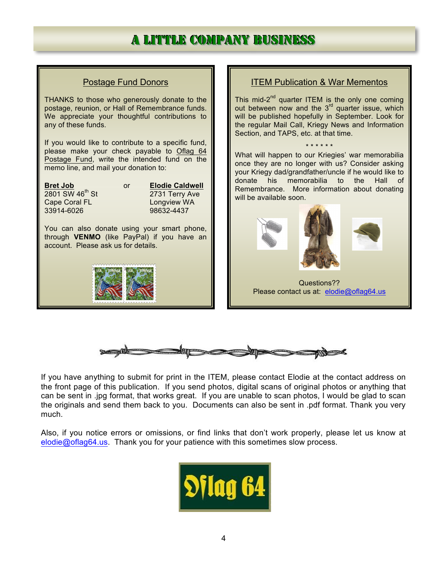# a liittlee companny business



If you have anything to submit for print in the ITEM, please contact Elodie at the contact address on the front page of this publication. If you send photos, digital scans of original photos or anything that can be sent in .jpg format, that works great. If you are unable to scan photos, I would be glad to scan the originals and send them back to you. Documents can also be sent in .pdf format. Thank you very much.

Also, if you notice errors or omissions, or find links that don't work properly, please let us know at elodie@oflag64.us. Thank you for your patience with this sometimes slow process.

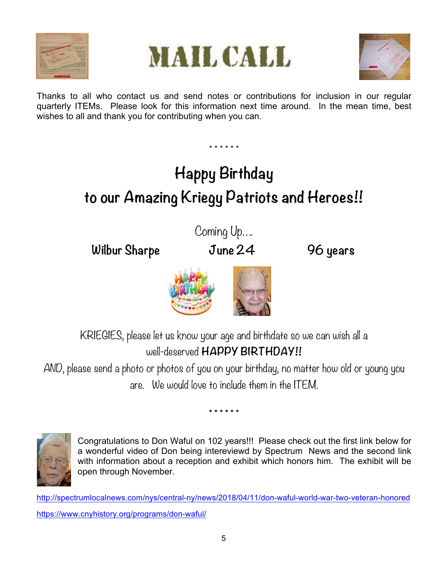





Thanks to all who contact us and send notes or contributions for inclusion in our regular quarterly ITEMs. Please look for this information next time around. In the mean time, best wishes to all and thank you for contributing when you can.

\* \* \* \* \* \*

# **Happy Birthday to our Amazing Kriegy Patriots and Heroes!!**

**Wilbur Sharpe June 24 96 years**

Coming Up….



KRIEGIES, please let us know your age and birthdate so we can wish all a well-deserved **HAPPY BIRTHDAY!!**

AND, please send a photo or photos of you on your birthday, no matter how old or young you are. We would love to include them in the ITEM.

**\* \* \* \* \* \***



Congratulations to Don Waful on 102 years!!! Please check out the first link below for a wonderful video of Don being intereviewd by Spectrum News and the second link with information about a reception and exhibit which honors him. The exhibit will be open through November.

http://spectrumlocalnews.com/nys/central-ny/news/2018/04/11/don-waful-world-war-two-veteran-honored https://www.cnyhistory.org/programs/don-waful/